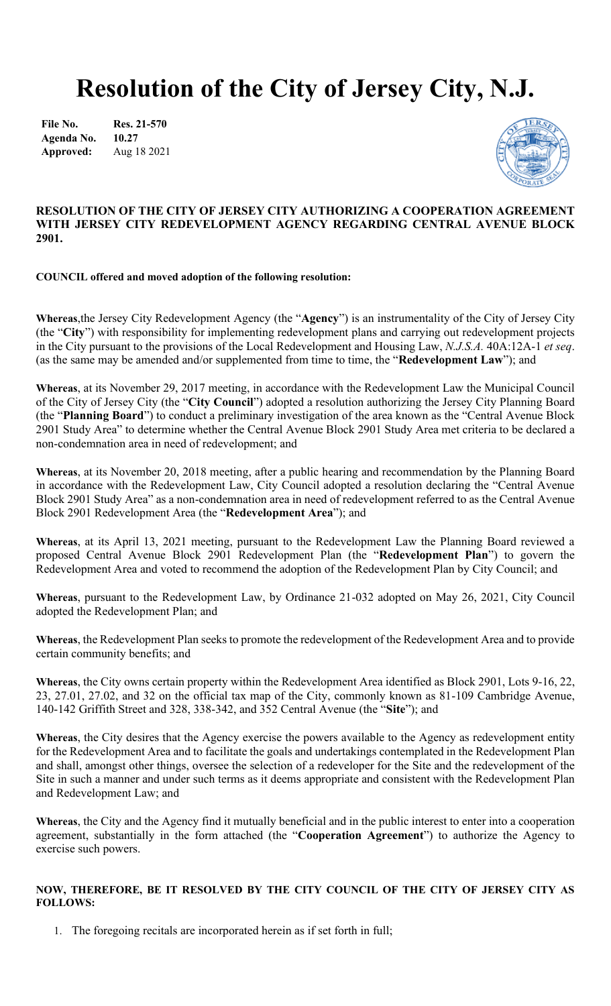# **Resolution of the City of Jersey City, N.J.**

**File No. Agenda No. Approved: Res. 21-570 10.27** Aug 18 2021



## **RESOLUTION OF THE CITY OF JERSEY CITY AUTHORIZING A COOPERATION AGREEMENT WITH JERSEY CITY REDEVELOPMENT AGENCY REGARDING CENTRAL AVENUE BLOCK 2901.**

#### **COUNCIL offered and moved adoption of the following resolution:**

**Whereas**,the Jersey City Redevelopment Agency (the "**Agency**") is an instrumentality of the City of Jersey City (the "**City**") with responsibility for implementing redevelopment plans and carrying out redevelopment projects in the City pursuant to the provisions of the Local Redevelopment and Housing Law, *N.J.S.A.* 40A:12A-1 *et seq*. (as the same may be amended and/or supplemented from time to time, the "**Redevelopment Law**"); and

**Whereas**, at its November 29, 2017 meeting, in accordance with the Redevelopment Law the Municipal Council of the City of Jersey City (the "**City Council**") adopted a resolution authorizing the Jersey City Planning Board (the "**Planning Board**") to conduct a preliminary investigation of the area known as the "Central Avenue Block 2901 Study Area" to determine whether the Central Avenue Block 2901 Study Area met criteria to be declared a non-condemnation area in need of redevelopment; and

**Whereas**, at its November 20, 2018 meeting, after a public hearing and recommendation by the Planning Board in accordance with the Redevelopment Law, City Council adopted a resolution declaring the "Central Avenue Block 2901 Study Area" as a non-condemnation area in need of redevelopment referred to as the Central Avenue Block 2901 Redevelopment Area (the "**Redevelopment Area**"); and

**Whereas**, at its April 13, 2021 meeting, pursuant to the Redevelopment Law the Planning Board reviewed a proposed Central Avenue Block 2901 Redevelopment Plan (the "**Redevelopment Plan**") to govern the Redevelopment Area and voted to recommend the adoption of the Redevelopment Plan by City Council; and

**Whereas**, pursuant to the Redevelopment Law, by Ordinance 21-032 adopted on May 26, 2021, City Council adopted the Redevelopment Plan; and

**Whereas**, the Redevelopment Plan seeks to promote the redevelopment of the Redevelopment Area and to provide certain community benefits; and

**Whereas**, the City owns certain property within the Redevelopment Area identified as Block 2901, Lots 9-16, 22, 23, 27.01, 27.02, and 32 on the official tax map of the City, commonly known as 81-109 Cambridge Avenue, 140-142 Griffith Street and 328, 338-342, and 352 Central Avenue (the "**Site**"); and

**Whereas**, the City desires that the Agency exercise the powers available to the Agency as redevelopment entity for the Redevelopment Area and to facilitate the goals and undertakings contemplated in the Redevelopment Plan and shall, amongst other things, oversee the selection of a redeveloper for the Site and the redevelopment of the Site in such a manner and under such terms as it deems appropriate and consistent with the Redevelopment Plan and Redevelopment Law; and

**Whereas**, the City and the Agency find it mutually beneficial and in the public interest to enter into a cooperation agreement, substantially in the form attached (the "**Cooperation Agreement**") to authorize the Agency to exercise such powers.

#### **NOW, THEREFORE, BE IT RESOLVED BY THE CITY COUNCIL OF THE CITY OF JERSEY CITY AS FOLLOWS:**

1. The foregoing recitals are incorporated herein as if set forth in full;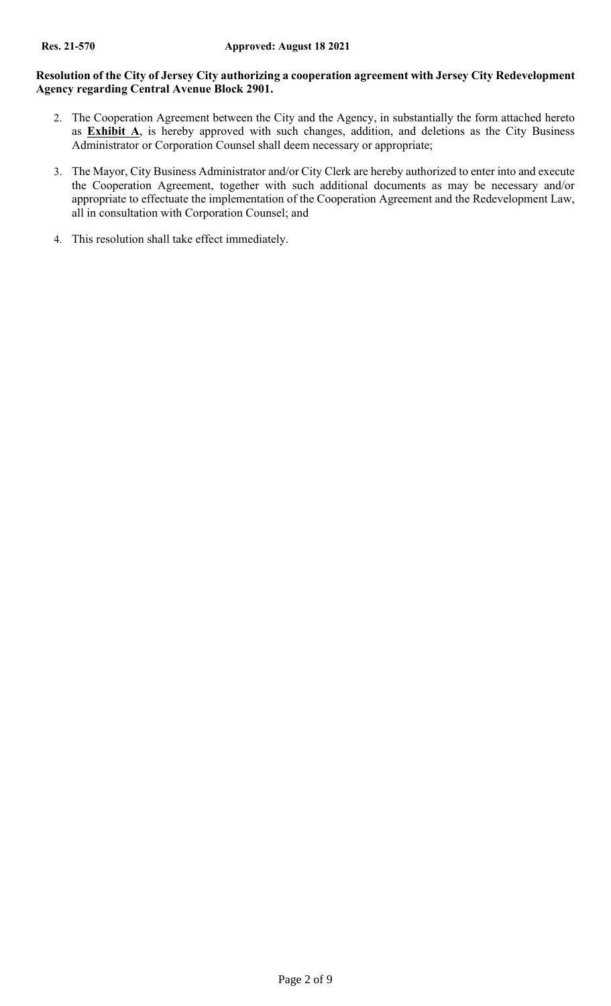# **Resolution of the City of Jersey City authorizing a cooperation agreement with Jersey City Redevelopment Agency regarding Central Avenue Block 2901.**

- 2. The Cooperation Agreement between the City and the Agency, in substantially the form attached hereto as **Exhibit A**, is hereby approved with such changes, addition, and deletions as the City Business Administrator or Corporation Counsel shall deem necessary or appropriate;
- 3. The Mayor, City Business Administrator and/or City Clerk are hereby authorized to enter into and execute the Cooperation Agreement, together with such additional documents as may be necessary and/or appropriate to effectuate the implementation of the Cooperation Agreement and the Redevelopment Law, all in consultation with Corporation Counsel; and
- 4. This resolution shall take effect immediately.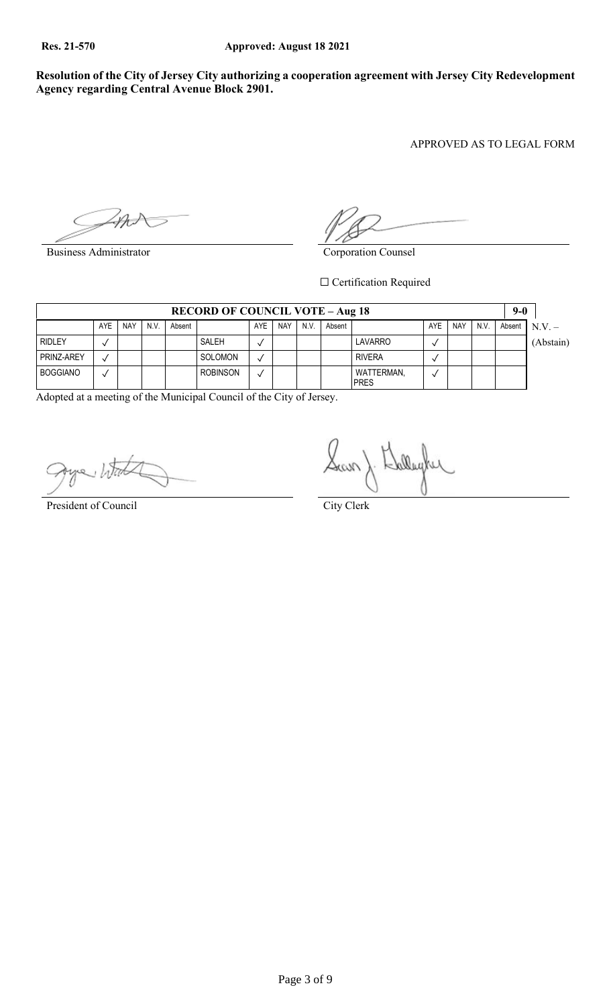**Resolution of the City of Jersey City authorizing a cooperation agreement with Jersey City Redevelopment Agency regarding Central Avenue Block 2901.**

APPROVED AS TO LEGAL FORM

Business Administrator Corporation Counsel

 $\Box$  Certification Required

|                 | <b>RECORD OF COUNCIL VOTE – Aug 18</b> |            |      |        |                 |     |            |      |        | $9-0$                     |     |            |      |  |                 |
|-----------------|----------------------------------------|------------|------|--------|-----------------|-----|------------|------|--------|---------------------------|-----|------------|------|--|-----------------|
|                 | AYE                                    | <b>NAY</b> | N.V. | Absent |                 | AYE | <b>NAY</b> | N.V. | Absent |                           | AYE | <b>NAY</b> | N.V. |  | Absent $N.V. -$ |
| <b>RIDLEY</b>   |                                        |            |      |        | SALEH           |     |            |      |        | LAVARRO                   |     |            |      |  | (Abstain)       |
| PRINZ-AREY      |                                        |            |      |        | SOLOMON         |     |            |      |        | <b>RIVERA</b>             |     |            |      |  |                 |
| <b>BOGGIANO</b> |                                        |            |      |        | <b>ROBINSON</b> |     |            |      |        | WATTERMAN,<br><b>PRES</b> |     |            |      |  |                 |

Adopted at a meeting of the Municipal Council of the City of Jersey.

San) Lalley

President of Council City Clerk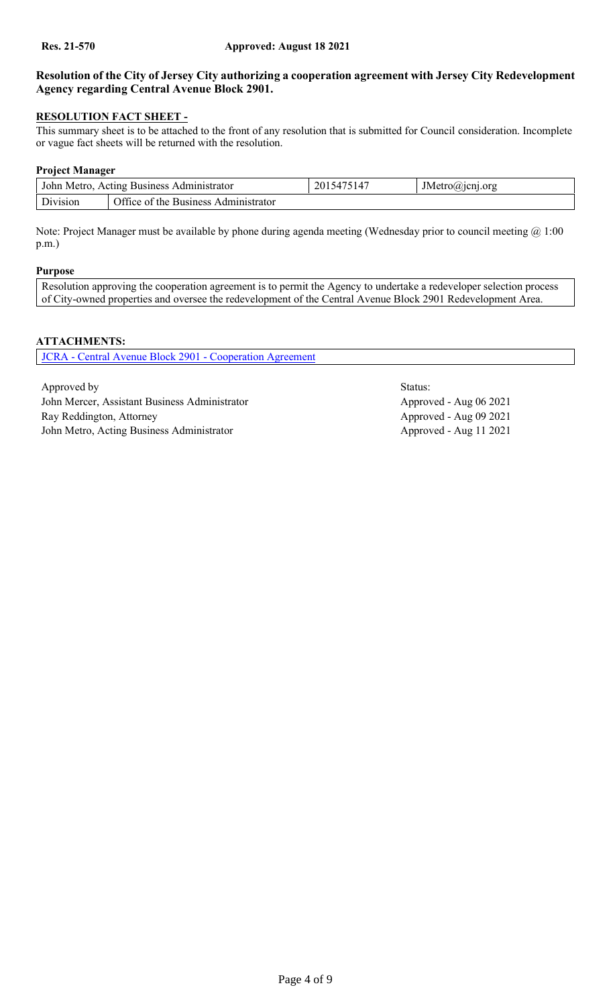# **Resolution of the City of Jersey City authorizing a cooperation agreement with Jersey City Redevelopment Agency regarding Central Avenue Block 2901.**

# **RESOLUTION FACT SHEET -**

This summary sheet is to be attached to the front of any resolution that is submitted for Council consideration. Incomplete or vague fact sheets will be returned with the resolution.

## **Project Manager**

|          | John Metro, Acting Business Administrator | 2015475147 | JMetro@jcnj.org |  |  |  |
|----------|-------------------------------------------|------------|-----------------|--|--|--|
| Division | Office of the Business Administrator      |            |                 |  |  |  |

Note: Project Manager must be available by phone during agenda meeting (Wednesday prior to council meeting @ 1:00 p.m.)

#### **Purpose**

Resolution approving the cooperation agreement is to permit the Agency to undertake a redeveloper selection process of City-owned properties and oversee the redevelopment of the Central Avenue Block 2901 Redevelopment Area.

## **ATTACHMENTS:**

JCRA - [Central Avenue Block 2901 -](#page-4-0) Cooperation Agreement

Approved by Status: John Mercer, Assistant Business Administrator Approved - Aug 06 2021 Ray Reddington, Attorney Approved - Aug 09 2021 John Metro, Acting Business Administrator Approved - Aug 11 2021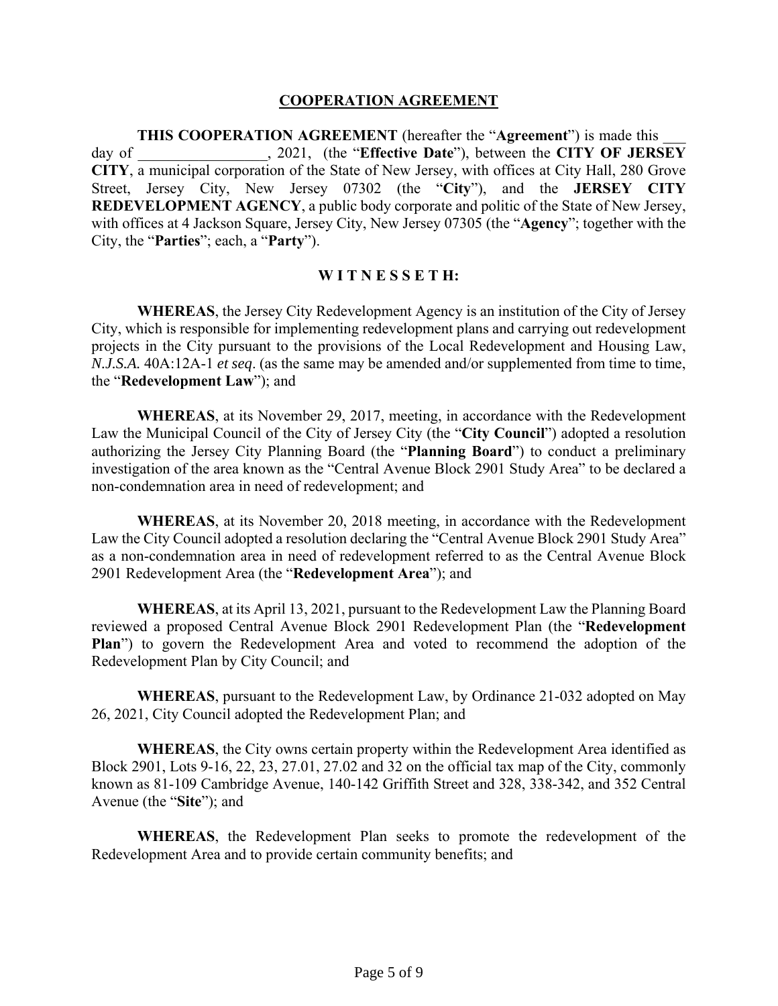#### **COOPERATION AGREEMENT**

**THIS COOPERATION AGREEMENT** (hereafter the "**Agreement**") is made this \_\_\_ day of \_\_\_\_\_\_\_\_\_\_\_\_\_\_\_\_\_, 2021, (the "**Effective Date**"), between the **CITY OF JERSEY CITY**, a municipal corporation of the State of New Jersey, with offices at City Hall, 280 Grove Street, Jersey City, New Jersey 07302 (the "**City**"), and the **JERSEY CITY REDEVELOPMENT AGENCY**, a public body corporate and politic of the State of New Jersey, with offices at 4 Jackson Square, Jersey City, New Jersey 07305 (the "**Agency**"; together with the City, the "**Parties**"; each, a "**Party**").

#### **W I T N E S S E T H:**

<span id="page-4-0"></span>**WHEREAS**, the Jersey City Redevelopment Agency is an institution of the City of Jersey City, which is responsible for implementing redevelopment plans and carrying out redevelopment projects in the City pursuant to the provisions of the Local Redevelopment and Housing Law, *N.J.S.A.* 40A:12A-1 *et seq*. (as the same may be amended and/or supplemented from time to time, the "**Redevelopment Law**"); and

**WHEREAS**, at its November 29, 2017, meeting, in accordance with the Redevelopment Law the Municipal Council of the City of Jersey City (the "**City Council**") adopted a resolution authorizing the Jersey City Planning Board (the "**Planning Board**") to conduct a preliminary investigation of the area known as the "Central Avenue Block 2901 Study Area" to be declared a non-condemnation area in need of redevelopment; and

**WHEREAS**, at its November 20, 2018 meeting, in accordance with the Redevelopment Law the City Council adopted a resolution declaring the "Central Avenue Block 2901 Study Area" as a non-condemnation area in need of redevelopment referred to as the Central Avenue Block 2901 Redevelopment Area (the "**Redevelopment Area**"); and

**WHEREAS**, at its April 13, 2021, pursuant to the Redevelopment Law the Planning Board reviewed a proposed Central Avenue Block 2901 Redevelopment Plan (the "**Redevelopment Plan**") to govern the Redevelopment Area and voted to recommend the adoption of the Redevelopment Plan by City Council; and

**WHEREAS**, pursuant to the Redevelopment Law, by Ordinance 21-032 adopted on May 26, 2021, City Council adopted the Redevelopment Plan; and

**WHEREAS**, the City owns certain property within the Redevelopment Area identified as Block 2901, Lots 9-16, 22, 23, 27.01, 27.02 and 32 on the official tax map of the City, commonly known as 81-109 Cambridge Avenue, 140-142 Griffith Street and 328, 338-342, and 352 Central Avenue (the "**Site**"); and

**WHEREAS**, the Redevelopment Plan seeks to promote the redevelopment of the Redevelopment Area and to provide certain community benefits; and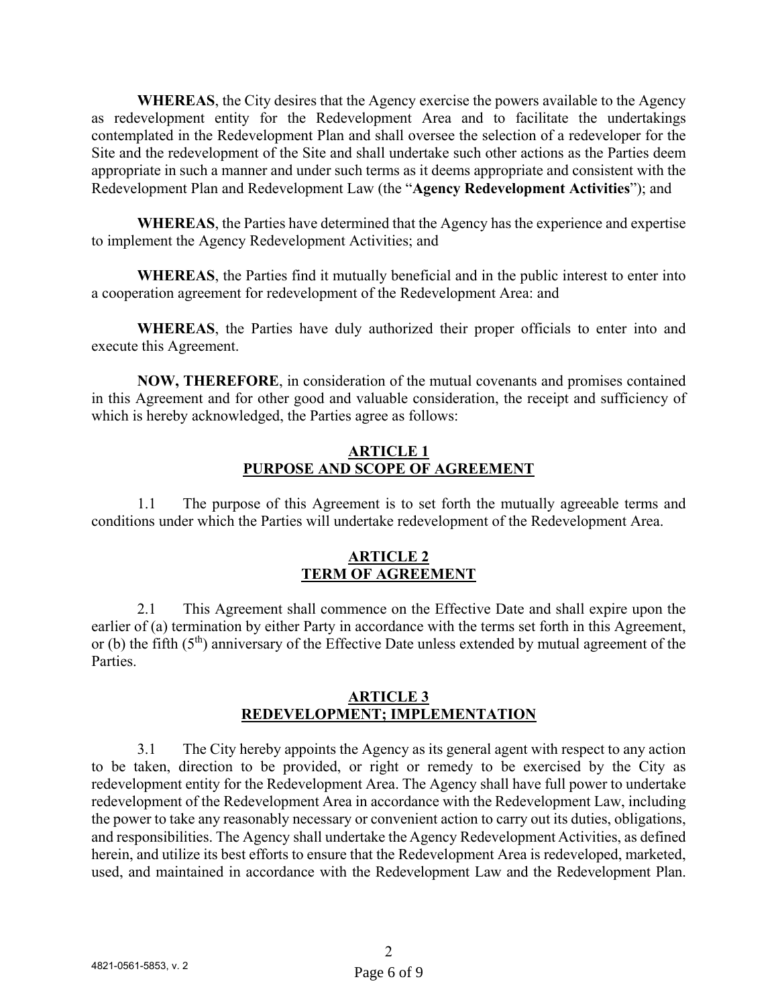**WHEREAS**, the City desires that the Agency exercise the powers available to the Agency as redevelopment entity for the Redevelopment Area and to facilitate the undertakings contemplated in the Redevelopment Plan and shall oversee the selection of a redeveloper for the Site and the redevelopment of the Site and shall undertake such other actions as the Parties deem appropriate in such a manner and under such terms as it deems appropriate and consistent with the Redevelopment Plan and Redevelopment Law (the "**Agency Redevelopment Activities**"); and

**WHEREAS**, the Parties have determined that the Agency has the experience and expertise to implement the Agency Redevelopment Activities; and

**WHEREAS**, the Parties find it mutually beneficial and in the public interest to enter into a cooperation agreement for redevelopment of the Redevelopment Area: and

**WHEREAS**, the Parties have duly authorized their proper officials to enter into and execute this Agreement.

**NOW, THEREFORE**, in consideration of the mutual covenants and promises contained in this Agreement and for other good and valuable consideration, the receipt and sufficiency of which is hereby acknowledged, the Parties agree as follows:

## **ARTICLE 1 PURPOSE AND SCOPE OF AGREEMENT**

1.1 The purpose of this Agreement is to set forth the mutually agreeable terms and conditions under which the Parties will undertake redevelopment of the Redevelopment Area.

# **ARTICLE 2 TERM OF AGREEMENT**

2.1 This Agreement shall commence on the Effective Date and shall expire upon the earlier of (a) termination by either Party in accordance with the terms set forth in this Agreement, or (b) the fifth  $(5<sup>th</sup>)$  anniversary of the Effective Date unless extended by mutual agreement of the Parties.

#### **ARTICLE 3 REDEVELOPMENT; IMPLEMENTATION**

3.1 The City hereby appoints the Agency as its general agent with respect to any action to be taken, direction to be provided, or right or remedy to be exercised by the City as redevelopment entity for the Redevelopment Area. The Agency shall have full power to undertake redevelopment of the Redevelopment Area in accordance with the Redevelopment Law, including the power to take any reasonably necessary or convenient action to carry out its duties, obligations, and responsibilities. The Agency shall undertake the Agency Redevelopment Activities, as defined herein, and utilize its best efforts to ensure that the Redevelopment Area is redeveloped, marketed, used, and maintained in accordance with the Redevelopment Law and the Redevelopment Plan.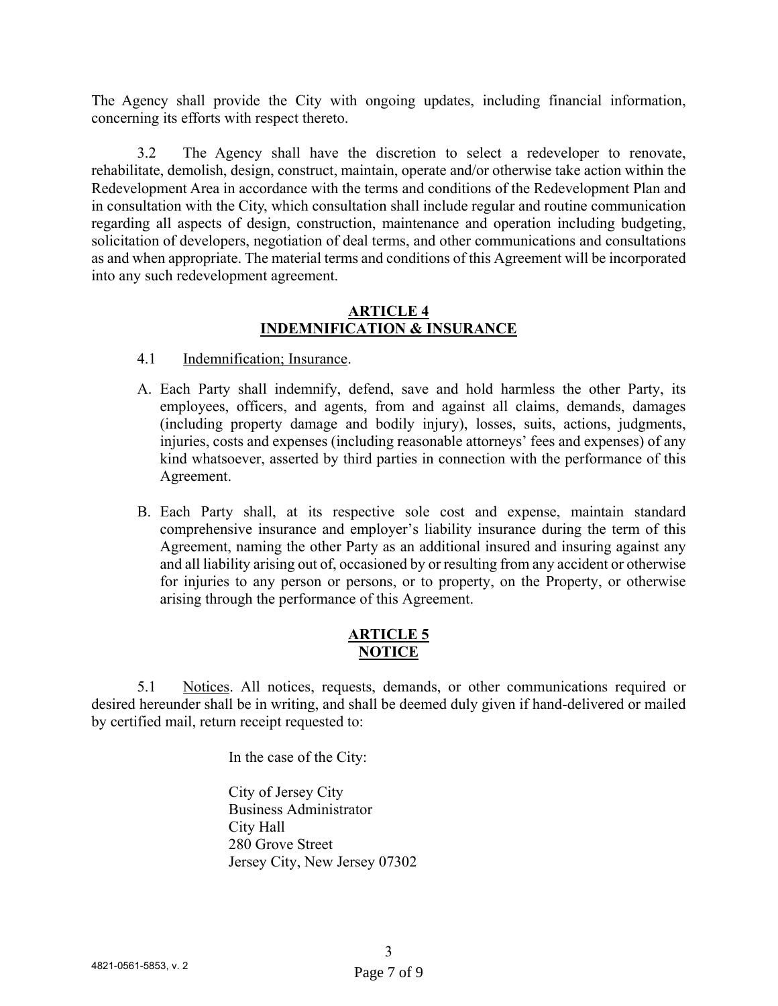The Agency shall provide the City with ongoing updates, including financial information, concerning its efforts with respect thereto.

3.2 The Agency shall have the discretion to select a redeveloper to renovate, rehabilitate, demolish, design, construct, maintain, operate and/or otherwise take action within the Redevelopment Area in accordance with the terms and conditions of the Redevelopment Plan and in consultation with the City, which consultation shall include regular and routine communication regarding all aspects of design, construction, maintenance and operation including budgeting, solicitation of developers, negotiation of deal terms, and other communications and consultations as and when appropriate. The material terms and conditions of this Agreement will be incorporated into any such redevelopment agreement.

#### **ARTICLE 4 INDEMNIFICATION & INSURANCE**

- 4.1 Indemnification; Insurance.
- A. Each Party shall indemnify, defend, save and hold harmless the other Party, its employees, officers, and agents, from and against all claims, demands, damages (including property damage and bodily injury), losses, suits, actions, judgments, injuries, costs and expenses (including reasonable attorneys' fees and expenses) of any kind whatsoever, asserted by third parties in connection with the performance of this Agreement.
- B. Each Party shall, at its respective sole cost and expense, maintain standard comprehensive insurance and employer's liability insurance during the term of this Agreement, naming the other Party as an additional insured and insuring against any and all liability arising out of, occasioned by or resulting from any accident or otherwise for injuries to any person or persons, or to property, on the Property, or otherwise arising through the performance of this Agreement.

# **ARTICLE 5 NOTICE**

5.1 Notices. All notices, requests, demands, or other communications required or desired hereunder shall be in writing, and shall be deemed duly given if hand-delivered or mailed by certified mail, return receipt requested to:

In the case of the City:

City of Jersey City Business Administrator City Hall 280 Grove Street Jersey City, New Jersey 07302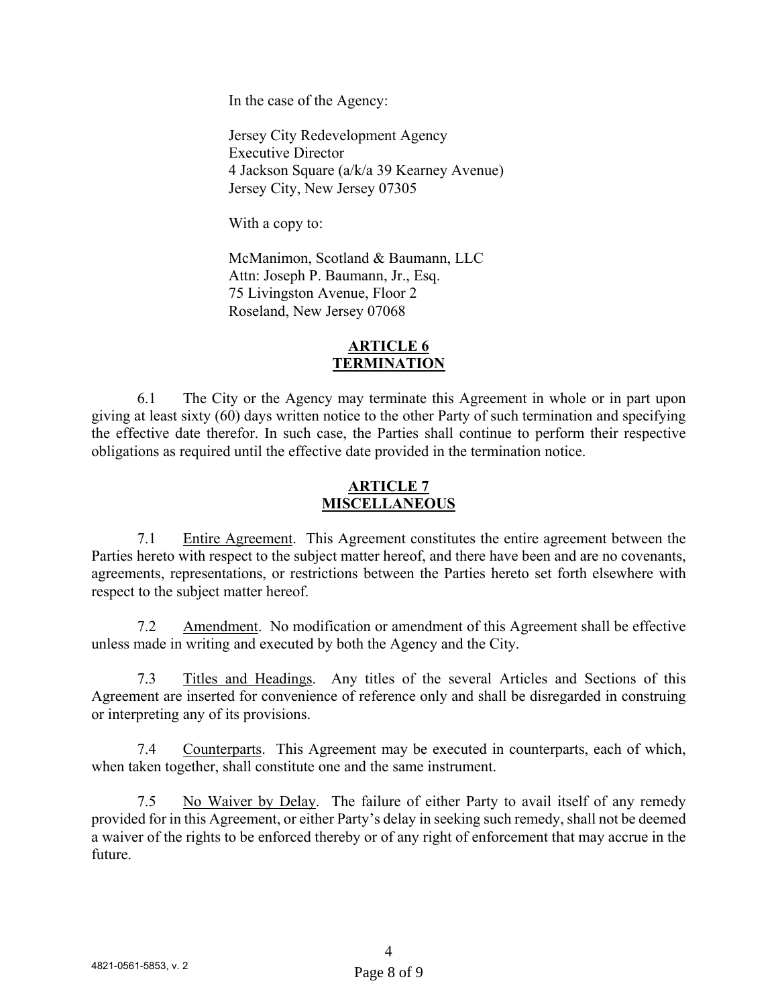In the case of the Agency:

Jersey City Redevelopment Agency Executive Director 4 Jackson Square (a/k/a 39 Kearney Avenue) Jersey City, New Jersey 07305

With a copy to:

 McManimon, Scotland & Baumann, LLC Attn: Joseph P. Baumann, Jr., Esq. 75 Livingston Avenue, Floor 2 Roseland, New Jersey 07068

## **ARTICLE 6 TERMINATION**

 6.1 The City or the Agency may terminate this Agreement in whole or in part upon giving at least sixty (60) days written notice to the other Party of such termination and specifying the effective date therefor. In such case, the Parties shall continue to perform their respective obligations as required until the effective date provided in the termination notice.

## **ARTICLE 7 MISCELLANEOUS**

7.1 Entire Agreement. This Agreement constitutes the entire agreement between the Parties hereto with respect to the subject matter hereof, and there have been and are no covenants, agreements, representations, or restrictions between the Parties hereto set forth elsewhere with respect to the subject matter hereof.

7.2 Amendment. No modification or amendment of this Agreement shall be effective unless made in writing and executed by both the Agency and the City.

7.3 Titles and Headings. Any titles of the several Articles and Sections of this Agreement are inserted for convenience of reference only and shall be disregarded in construing or interpreting any of its provisions.

7.4 Counterparts. This Agreement may be executed in counterparts, each of which, when taken together, shall constitute one and the same instrument.

 7.5 No Waiver by Delay.The failure of either Party to avail itself of any remedy provided for in this Agreement, or either Party's delay in seeking such remedy, shall not be deemed a waiver of the rights to be enforced thereby or of any right of enforcement that may accrue in the future.